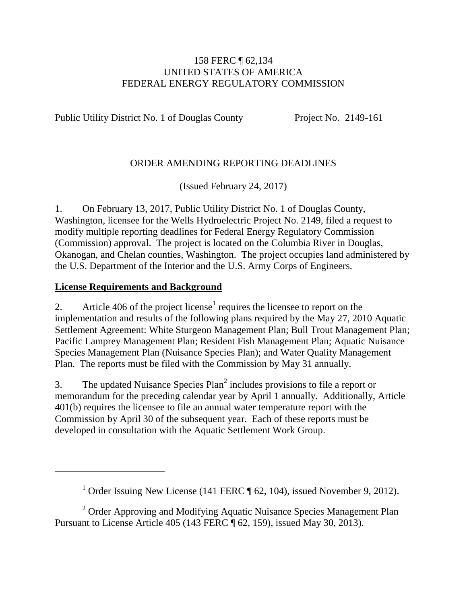#### 158 FERC ¶ 62,134 UNITED STATES OF AMERICA FEDERAL ENERGY REGULATORY COMMISSION

Public Utility District No. 1 of Douglas County Project No. 2149-161

### ORDER AMENDING REPORTING DEADLINES

(Issued February 24, 2017)

1. On February 13, 2017, Public Utility District No. 1 of Douglas County, Washington, licensee for the Wells Hydroelectric Project No. 2149, filed a request to modify multiple reporting deadlines for Federal Energy Regulatory Commission (Commission) approval. The project is located on the Columbia River in Douglas, Okanogan, and Chelan counties, Washington. The project occupies land administered by the U.S. Department of the Interior and the U.S. Army Corps of Engineers.

#### **License Requirements and Background**

2. Article 406 of the project license<sup>1</sup> requires the licensee to report on the implementation and results of the following plans required by the May 27, 2010 Aquatic Settlement Agreement: White Sturgeon Management Plan; Bull Trout Management Plan; Pacific Lamprey Management Plan; Resident Fish Management Plan; Aquatic Nuisance Species Management Plan (Nuisance Species Plan); and Water Quality Management Plan. The reports must be filed with the Commission by May 31 annually.

3. The updated Nuisance Species  $Plan<sup>2</sup>$  includes provisions to file a report or memorandum for the preceding calendar year by April 1 annually. Additionally, Article 401(b) requires the licensee to file an annual water temperature report with the Commission by April 30 of the subsequent year. Each of these reports must be developed in consultation with the Aquatic Settlement Work Group.

<sup>&</sup>lt;sup>1</sup> Order Issuing New License (141 FERC  $\P$  62, 104), issued November 9, 2012).

<sup>&</sup>lt;sup>2</sup> Order Approving and Modifying Aquatic Nuisance Species Management Plan Pursuant to License Article 405 (143 FERC ¶ 62, 159), issued May 30, 2013).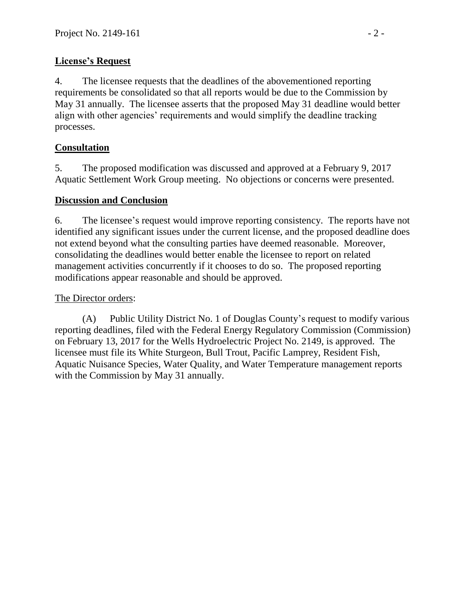# **License's Request**

4. The licensee requests that the deadlines of the abovementioned reporting requirements be consolidated so that all reports would be due to the Commission by May 31 annually. The licensee asserts that the proposed May 31 deadline would better align with other agencies' requirements and would simplify the deadline tracking processes.

# **Consultation**

5. The proposed modification was discussed and approved at a February 9, 2017 Aquatic Settlement Work Group meeting. No objections or concerns were presented.

### **Discussion and Conclusion**

6. The licensee's request would improve reporting consistency. The reports have not identified any significant issues under the current license, and the proposed deadline does not extend beyond what the consulting parties have deemed reasonable. Moreover, consolidating the deadlines would better enable the licensee to report on related management activities concurrently if it chooses to do so. The proposed reporting modifications appear reasonable and should be approved.

## The Director orders:

(A) Public Utility District No. 1 of Douglas County's request to modify various reporting deadlines, filed with the Federal Energy Regulatory Commission (Commission) on February 13, 2017 for the Wells Hydroelectric Project No. 2149, is approved. The licensee must file its White Sturgeon, Bull Trout, Pacific Lamprey, Resident Fish, Aquatic Nuisance Species, Water Quality, and Water Temperature management reports with the Commission by May 31 annually.